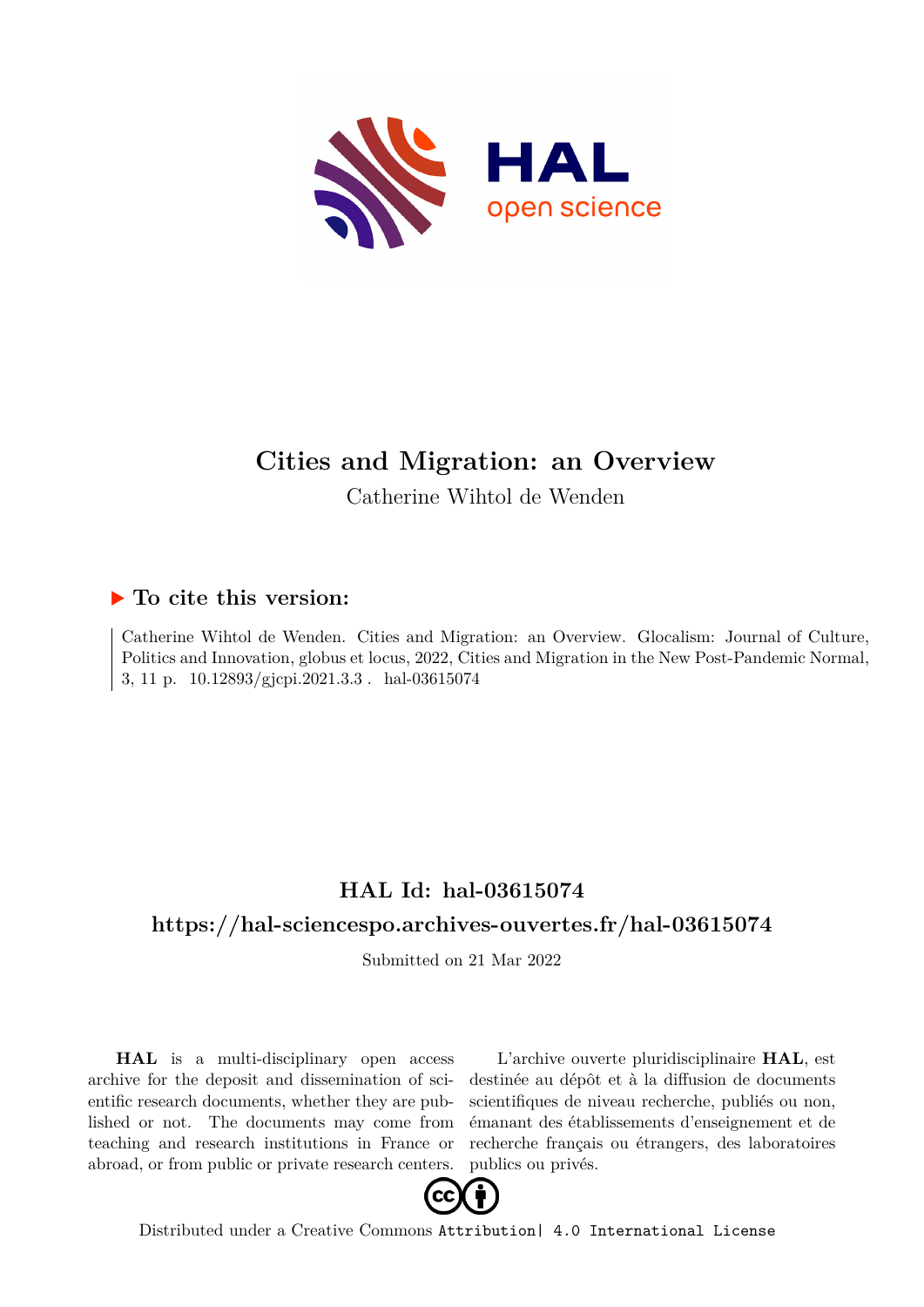

# **Cities and Migration: an Overview**

Catherine Wihtol de Wenden

# **To cite this version:**

Catherine Wihtol de Wenden. Cities and Migration: an Overview. Glocalism: Journal of Culture, Politics and Innovation, globus et locus, 2022, Cities and Migration in the New Post-Pandemic Normal, 3, 11 p. 10.12893/gjcpi.2021.3.3 hal-03615074

# **HAL Id: hal-03615074**

# **<https://hal-sciencespo.archives-ouvertes.fr/hal-03615074>**

Submitted on 21 Mar 2022

**HAL** is a multi-disciplinary open access archive for the deposit and dissemination of scientific research documents, whether they are published or not. The documents may come from teaching and research institutions in France or abroad, or from public or private research centers.

L'archive ouverte pluridisciplinaire **HAL**, est destinée au dépôt et à la diffusion de documents scientifiques de niveau recherche, publiés ou non, émanant des établissements d'enseignement et de recherche français ou étrangers, des laboratoires publics ou privés.



Distributed under a Creative Commons [Attribution| 4.0 International License](http://creativecommons.org/licenses/by/4.0/)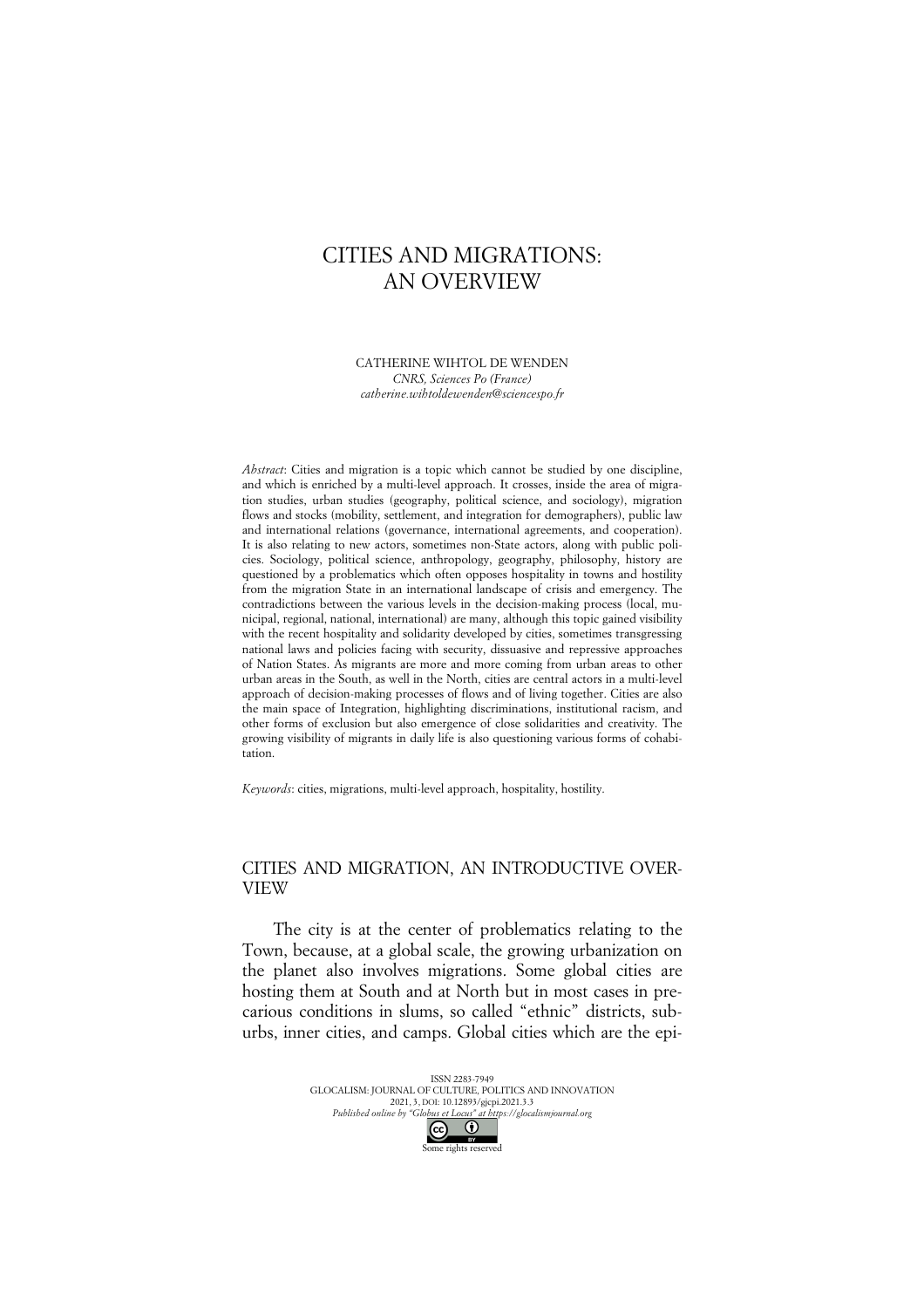## CITIES AND MIGRATIONS: AN OVERVIEW

CATHERINE WIHTOL DE WENDEN *CNRS, Sciences Po (France) catherine.wihtoldewenden@sciencespo.fr*

*Abstract*: Cities and migration is a topic which cannot be studied by one discipline, and which is enriched by a multi-level approach. It crosses, inside the area of migration studies, urban studies (geography, political science, and sociology), migration flows and stocks (mobility, settlement, and integration for demographers), public law and international relations (governance, international agreements, and cooperation). It is also relating to new actors, sometimes non-State actors, along with public policies. Sociology, political science, anthropology, geography, philosophy, history are questioned by a problematics which often opposes hospitality in towns and hostility from the migration State in an international landscape of crisis and emergency. The contradictions between the various levels in the decision-making process (local, municipal, regional, national, international) are many, although this topic gained visibility with the recent hospitality and solidarity developed by cities, sometimes transgressing national laws and policies facing with security, dissuasive and repressive approaches of Nation States. As migrants are more and more coming from urban areas to other urban areas in the South, as well in the North, cities are central actors in a multi-level approach of decision-making processes of flows and of living together. Cities are also the main space of Integration, highlighting discriminations, institutional racism, and other forms of exclusion but also emergence of close solidarities and creativity. The growing visibility of migrants in daily life is also questioning various forms of cohabitation.

*Keywords*: cities, migrations, multi-level approach, hospitality, hostility.

### CITIES AND MIGRATION, AN INTRODUCTIVE OVER-VIEW

The city is at the center of problematics relating to the Town, because, at a global scale, the growing urbanization on the planet also involves migrations. Some global cities are hosting them at South and at North but in most cases in precarious conditions in slums, so called "ethnic" districts, suburbs, inner cities, and camps. Global cities which are the epi-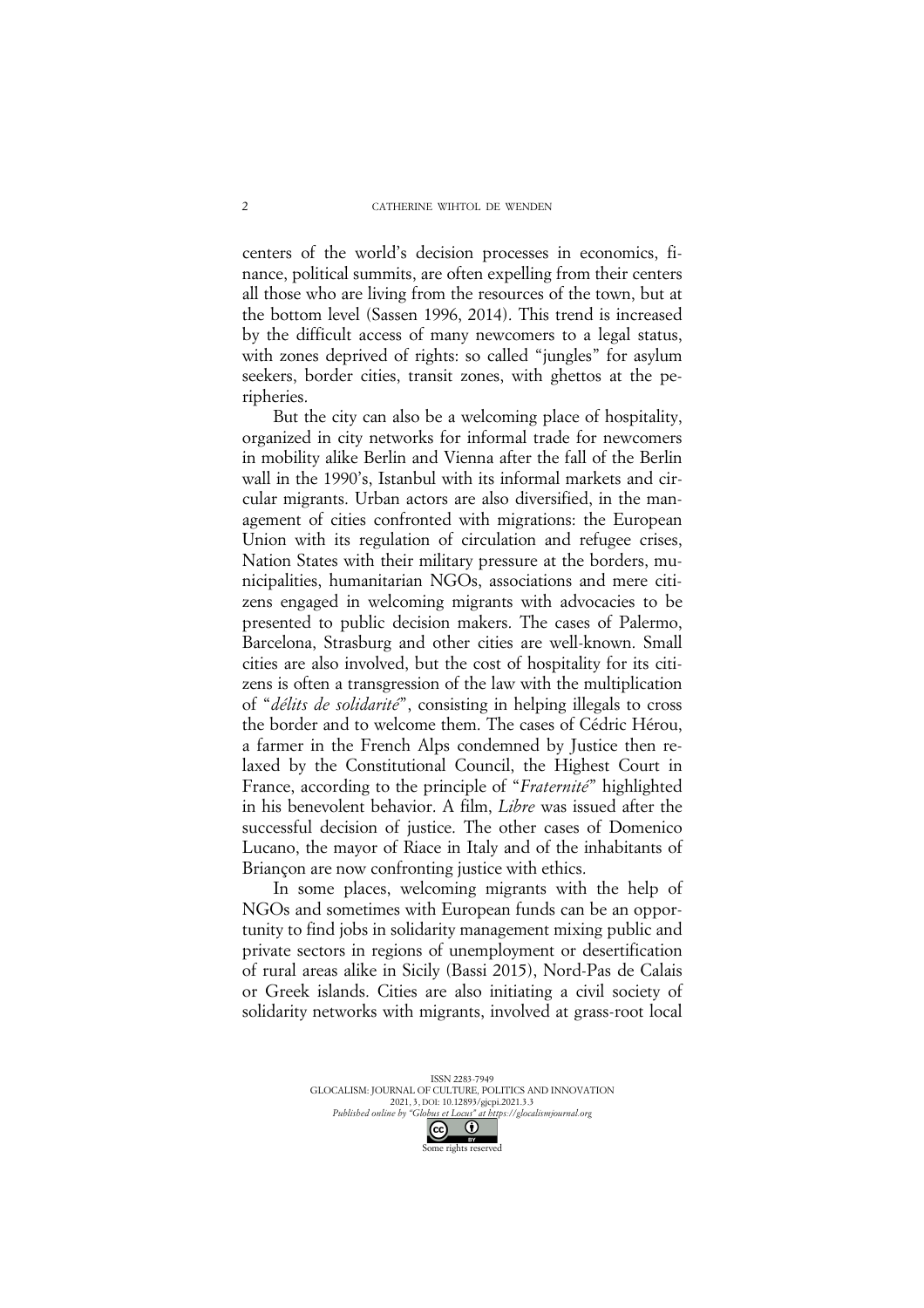centers of the world's decision processes in economics, finance, political summits, are often expelling from their centers all those who are living from the resources of the town, but at the bottom level (Sassen 1996, 2014). This trend is increased by the difficult access of many newcomers to a legal status, with zones deprived of rights: so called "jungles" for asylum seekers, border cities, transit zones, with ghettos at the peripheries.

But the city can also be a welcoming place of hospitality, organized in city networks for informal trade for newcomers in mobility alike Berlin and Vienna after the fall of the Berlin wall in the 1990's, Istanbul with its informal markets and circular migrants. Urban actors are also diversified, in the management of cities confronted with migrations: the European Union with its regulation of circulation and refugee crises, Nation States with their military pressure at the borders, municipalities, humanitarian NGOs, associations and mere citizens engaged in welcoming migrants with advocacies to be presented to public decision makers. The cases of Palermo, Barcelona, Strasburg and other cities are well-known. Small cities are also involved, but the cost of hospitality for its citizens is often a transgression of the law with the multiplication of "*délits de solidarité*", consisting in helping illegals to cross the border and to welcome them. The cases of Cédric Hérou, a farmer in the French Alps condemned by Justice then relaxed by the Constitutional Council, the Highest Court in France, according to the principle of "*Fraternité*" highlighted in his benevolent behavior. A film, *Libre* was issued after the successful decision of justice. The other cases of Domenico Lucano, the mayor of Riace in Italy and of the inhabitants of Briançon are now confronting justice with ethics.

In some places, welcoming migrants with the help of NGOs and sometimes with European funds can be an opportunity to find jobs in solidarity management mixing public and private sectors in regions of unemployment or desertification of rural areas alike in Sicily (Bassi 2015), Nord-Pas de Calais or Greek islands. Cities are also initiating a civil society of solidarity networks with migrants, involved at grass-root local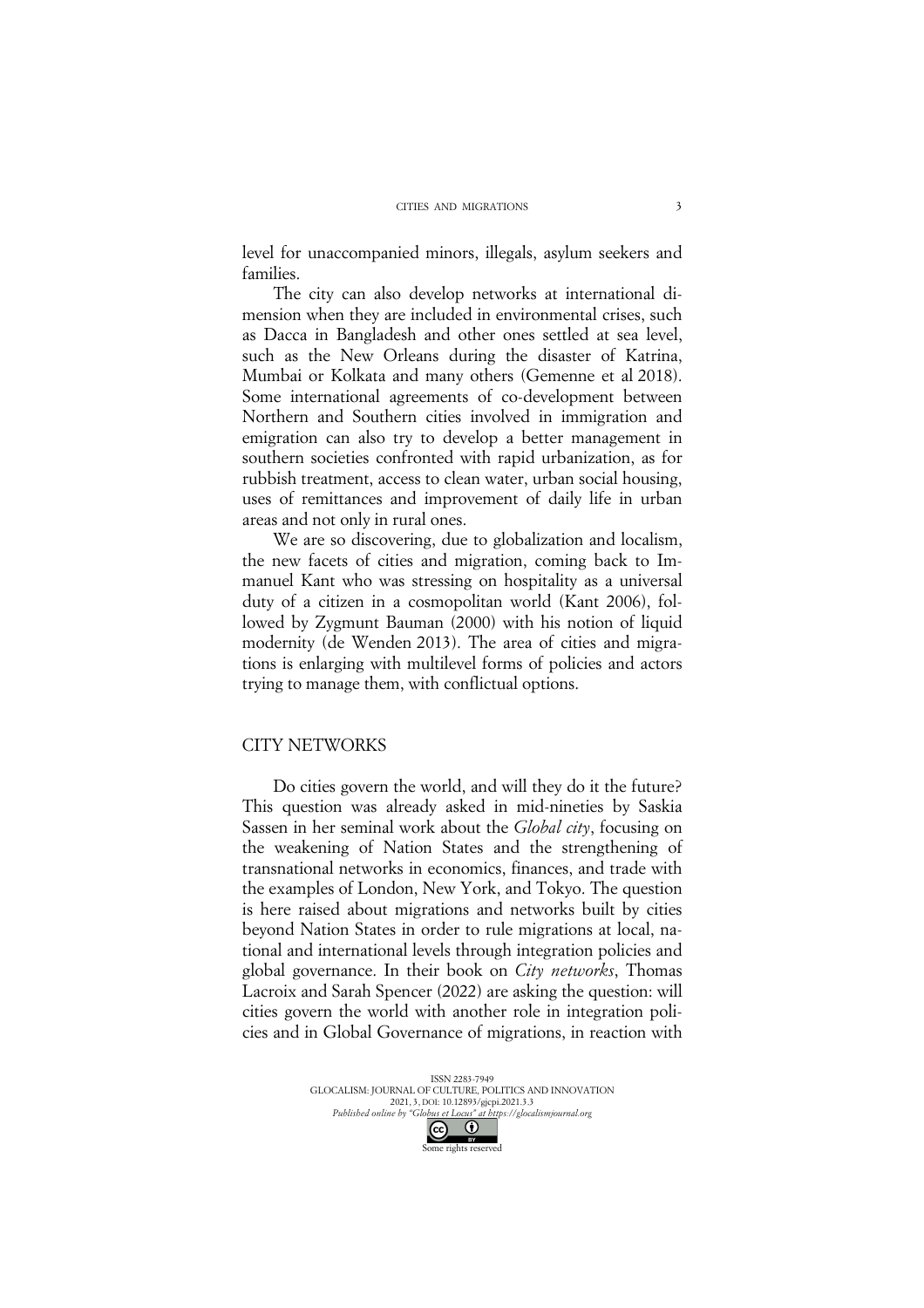level for unaccompanied minors, illegals, asylum seekers and families.

The city can also develop networks at international dimension when they are included in environmental crises, such as Dacca in Bangladesh and other ones settled at sea level, such as the New Orleans during the disaster of Katrina, Mumbai or Kolkata and many others (Gemenne et al 2018). Some international agreements of co-development between Northern and Southern cities involved in immigration and emigration can also try to develop a better management in southern societies confronted with rapid urbanization, as for rubbish treatment, access to clean water, urban social housing, uses of remittances and improvement of daily life in urban areas and not only in rural ones.

We are so discovering, due to globalization and localism, the new facets of cities and migration, coming back to Immanuel Kant who was stressing on hospitality as a universal duty of a citizen in a cosmopolitan world (Kant 2006), followed by Zygmunt Bauman (2000) with his notion of liquid modernity (de Wenden 2013). The area of cities and migrations is enlarging with multilevel forms of policies and actors trying to manage them, with conflictual options.

#### CITY NETWORKS

Do cities govern the world, and will they do it the future? This question was already asked in mid-nineties by Saskia Sassen in her seminal work about the *Global city*, focusing on the weakening of Nation States and the strengthening of transnational networks in economics, finances, and trade with the examples of London, New York, and Tokyo. The question is here raised about migrations and networks built by cities beyond Nation States in order to rule migrations at local, national and international levels through integration policies and global governance. In their book on *City networks*, Thomas Lacroix and Sarah Spencer (2022) are asking the question: will cities govern the world with another role in integration policies and in Global Governance of migrations, in reaction with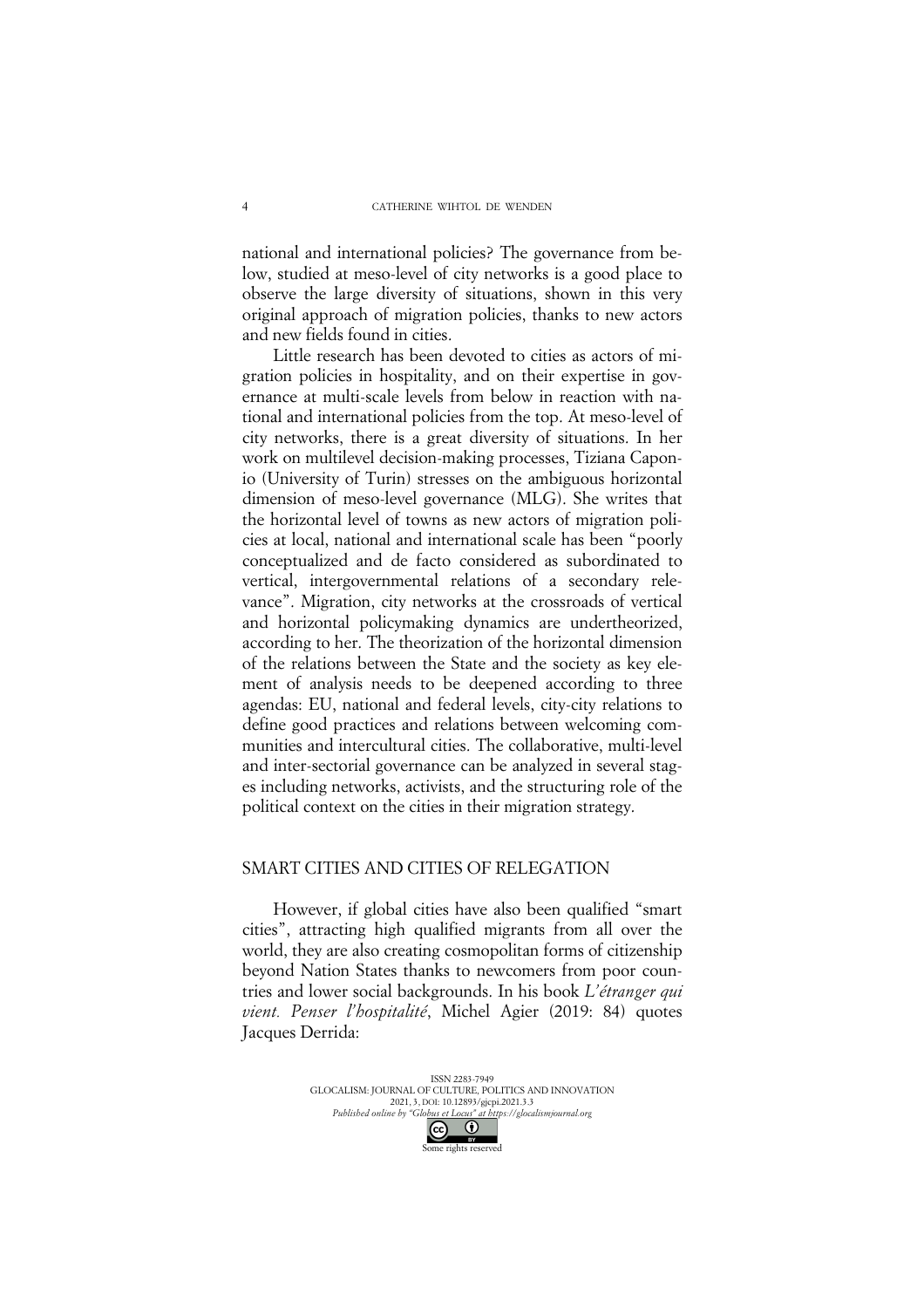national and international policies? The governance from below, studied at meso-level of city networks is a good place to observe the large diversity of situations, shown in this very original approach of migration policies, thanks to new actors and new fields found in cities.

Little research has been devoted to cities as actors of migration policies in hospitality, and on their expertise in governance at multi-scale levels from below in reaction with national and international policies from the top. At meso-level of city networks, there is a great diversity of situations. In her work on multilevel decision-making processes, Tiziana Caponio (University of Turin) stresses on the ambiguous horizontal dimension of meso-level governance (MLG). She writes that the horizontal level of towns as new actors of migration policies at local, national and international scale has been "poorly conceptualized and de facto considered as subordinated to vertical, intergovernmental relations of a secondary relevance". Migration, city networks at the crossroads of vertical and horizontal policymaking dynamics are undertheorized, according to her. The theorization of the horizontal dimension of the relations between the State and the society as key element of analysis needs to be deepened according to three agendas: EU, national and federal levels, city-city relations to define good practices and relations between welcoming communities and intercultural cities. The collaborative, multi-level and inter-sectorial governance can be analyzed in several stages including networks, activists, and the structuring role of the political context on the cities in their migration strategy.

### SMART CITIES AND CITIES OF RELEGATION

However, if global cities have also been qualified "smart cities", attracting high qualified migrants from all over the world, they are also creating cosmopolitan forms of citizenship beyond Nation States thanks to newcomers from poor countries and lower social backgrounds. In his book *L'étranger qui vient. Penser l'hospitalité*, Michel Agier (2019: 84) quotes Jacques Derrida: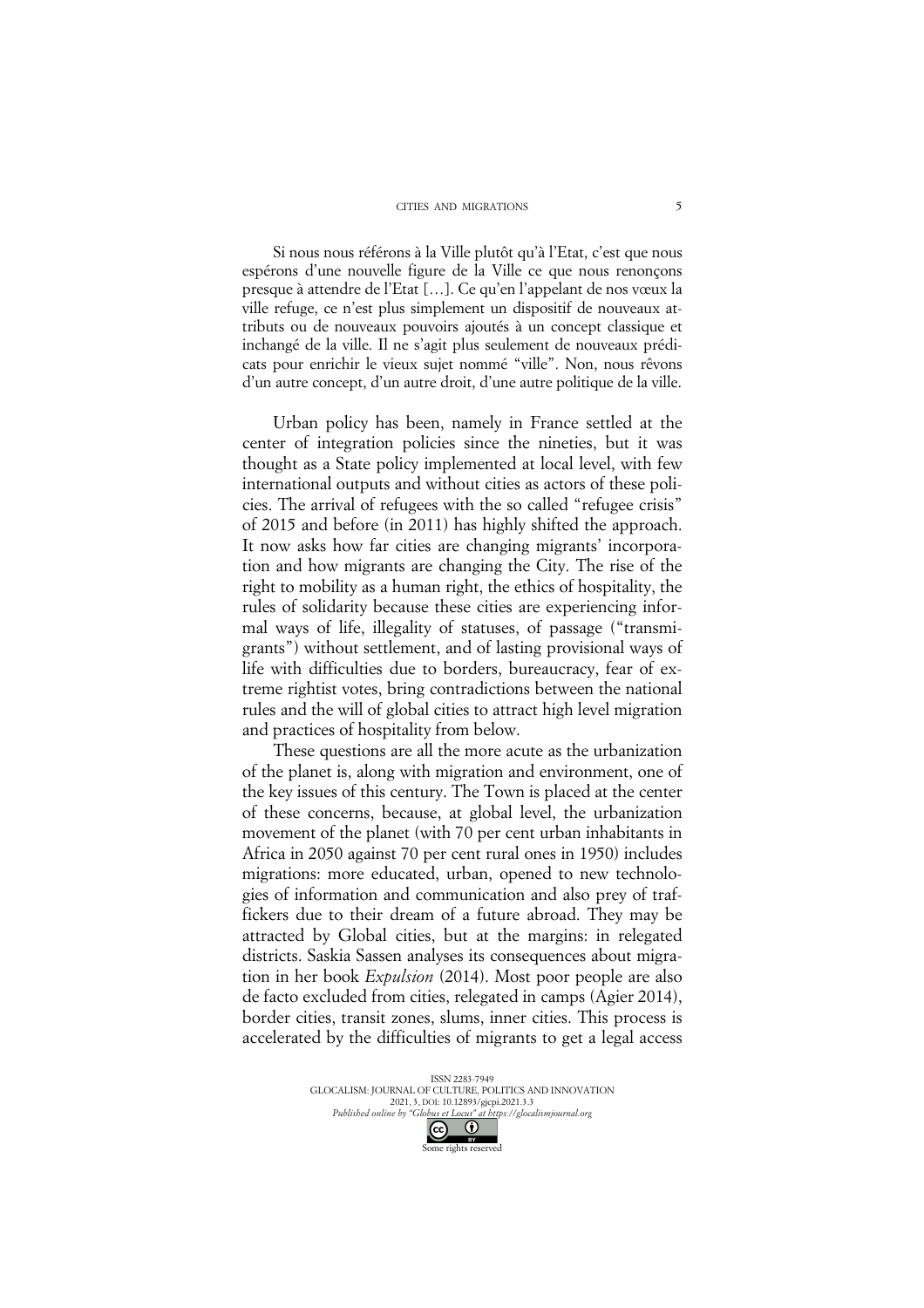Si nous nous référons à la Ville plutôt qu'à l'Etat, c'est que nous espérons d'une nouvelle figure de la Ville ce que nous renonçons presque à attendre de l'Etat […]. Ce qu'en l'appelant de nos vœux la ville refuge, ce n'est plus simplement un dispositif de nouveaux attributs ou de nouveaux pouvoirs ajoutés à un concept classique et inchangé de la ville. Il ne s'agit plus seulement de nouveaux prédicats pour enrichir le vieux sujet nommé "ville". Non, nous rêvons d'un autre concept, d'un autre droit, d'une autre politique de la ville.

Urban policy has been, namely in France settled at the center of integration policies since the nineties, but it was thought as a State policy implemented at local level, with few international outputs and without cities as actors of these policies. The arrival of refugees with the so called "refugee crisis" of 2015 and before (in 2011) has highly shifted the approach. It now asks how far cities are changing migrants' incorporation and how migrants are changing the City. The rise of the right to mobility as a human right, the ethics of hospitality, the rules of solidarity because these cities are experiencing informal ways of life, illegality of statuses, of passage ("transmigrants") without settlement, and of lasting provisional ways of life with difficulties due to borders, bureaucracy, fear of extreme rightist votes, bring contradictions between the national rules and the will of global cities to attract high level migration and practices of hospitality from below.

These questions are all the more acute as the urbanization of the planet is, along with migration and environment, one of the key issues of this century. The Town is placed at the center of these concerns, because, at global level, the urbanization movement of the planet (with 70 per cent urban inhabitants in Africa in 2050 against 70 per cent rural ones in 1950) includes migrations: more educated, urban, opened to new technologies of information and communication and also prey of traffickers due to their dream of a future abroad. They may be attracted by Global cities, but at the margins: in relegated districts. Saskia Sassen analyses its consequences about migration in her book *Expulsion* (2014). Most poor people are also de facto excluded from cities, relegated in camps (Agier 2014), border cities, transit zones, slums, inner cities. This process is accelerated by the difficulties of migrants to get a legal access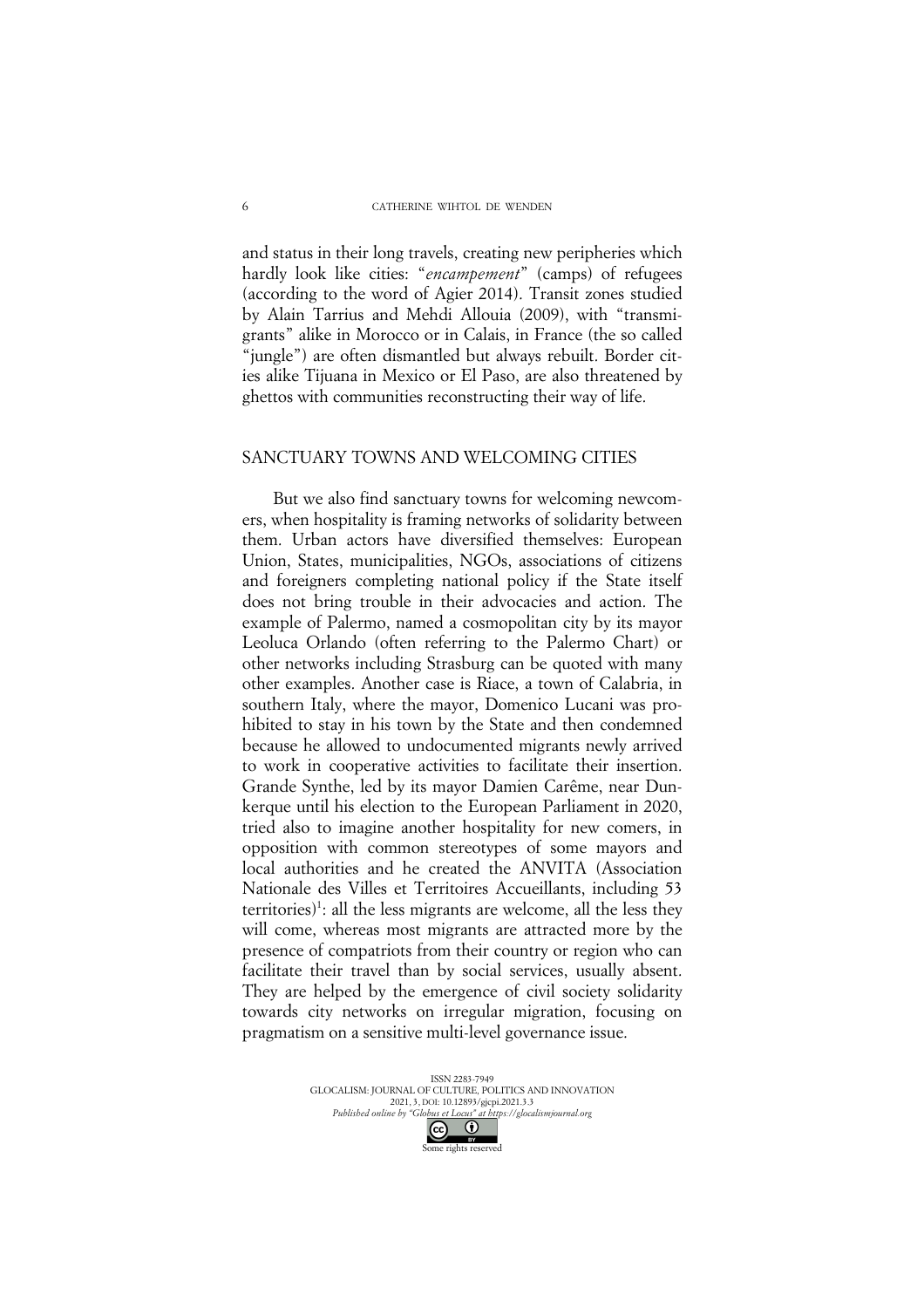and status in their long travels, creating new peripheries which hardly look like cities: "*encampement*" (camps) of refugees (according to the word of Agier 2014). Transit zones studied by Alain Tarrius and Mehdi Allouia (2009), with "transmigrants" alike in Morocco or in Calais, in France (the so called "jungle") are often dismantled but always rebuilt. Border cities alike Tijuana in Mexico or El Paso, are also threatened by ghettos with communities reconstructing their way of life.

#### SANCTUARY TOWNS AND WELCOMING CITIES

But we also find sanctuary towns for welcoming newcomers, when hospitality is framing networks of solidarity between them. Urban actors have diversified themselves: European Union, States, municipalities, NGOs, associations of citizens and foreigners completing national policy if the State itself does not bring trouble in their advocacies and action. The example of Palermo, named a cosmopolitan city by its mayor Leoluca Orlando (often referring to the Palermo Chart) or other networks including Strasburg can be quoted with many other examples. Another case is Riace, a town of Calabria, in southern Italy, where the mayor, Domenico Lucani was prohibited to stay in his town by the State and then condemned because he allowed to undocumented migrants newly arrived to work in cooperative activities to facilitate their insertion. Grande Synthe, led by its mayor Damien Carême, near Dunkerque until his election to the European Parliament in 2020, tried also to imagine another hospitality for new comers, in opposition with common stereotypes of some mayors and local authorities and he created the ANVITA (Association Nationale des Villes et Territoires Accueillants, including 53 territories)<sup>1</sup>: all the less migrants are welcome, all the less they will come, whereas most migrants are attracted more by the presence of compatriots from their country or region who can facilitate their travel than by social services, usually absent. They are helped by the emergence of civil society solidarity towards city networks on irregular migration, focusing on pragmatism on a sensitive multi-level governance issue.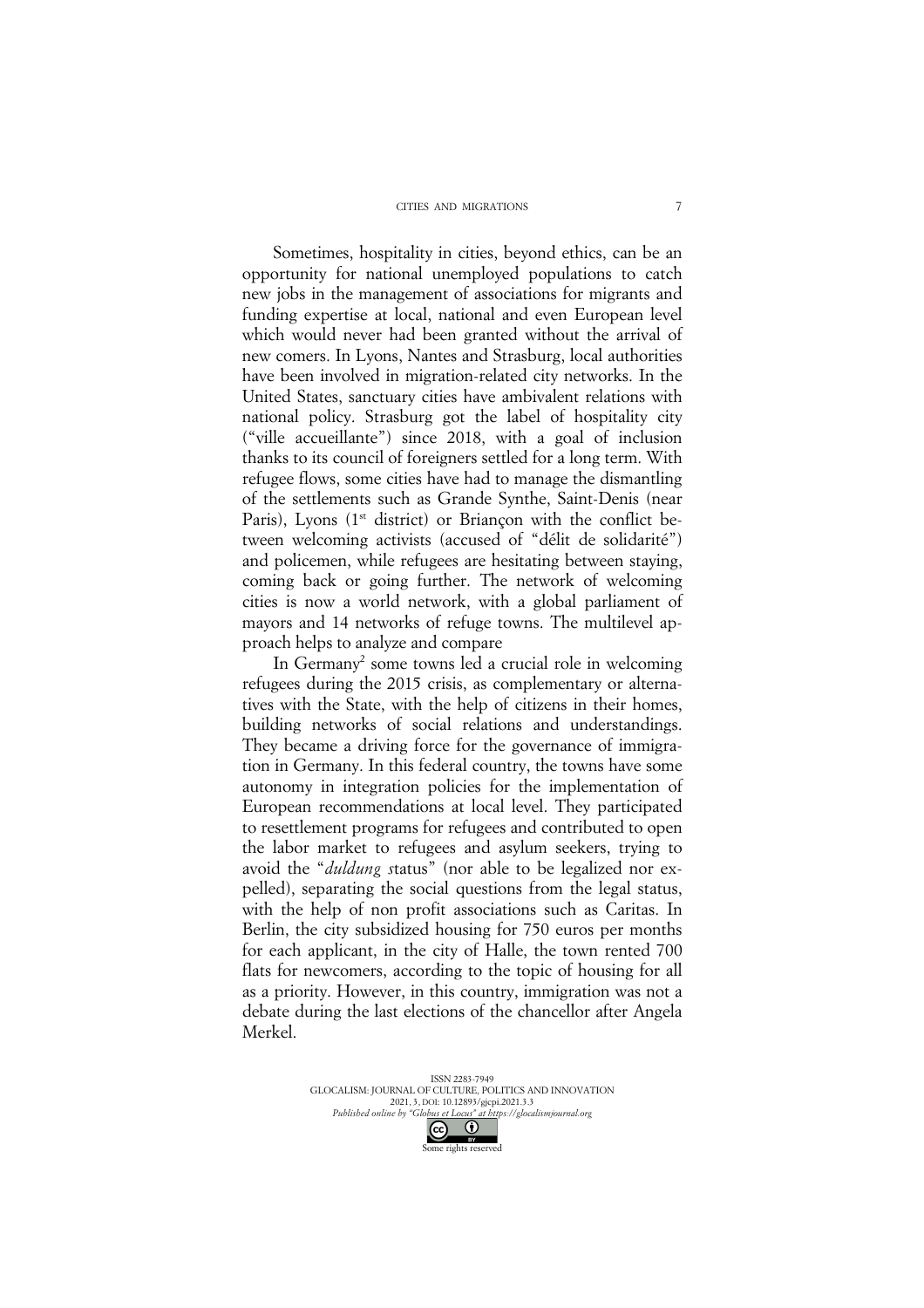Sometimes, hospitality in cities, beyond ethics, can be an opportunity for national unemployed populations to catch new jobs in the management of associations for migrants and funding expertise at local, national and even European level which would never had been granted without the arrival of new comers. In Lyons, Nantes and Strasburg, local authorities have been involved in migration-related city networks. In the United States, sanctuary cities have ambivalent relations with national policy. Strasburg got the label of hospitality city ("ville accueillante") since 2018, with a goal of inclusion thanks to its council of foreigners settled for a long term. With refugee flows, some cities have had to manage the dismantling of the settlements such as Grande Synthe, Saint-Denis (near Paris), Lyons  $(1<sup>st</sup>$  district) or Briancon with the conflict between welcoming activists (accused of "délit de solidarité") and policemen, while refugees are hesitating between staying, coming back or going further. The network of welcoming cities is now a world network, with a global parliament of mayors and 14 networks of refuge towns. The multilevel approach helps to analyze and compare

In Germany<sup>2</sup> some towns led a crucial role in welcoming refugees during the 2015 crisis, as complementary or alternatives with the State, with the help of citizens in their homes, building networks of social relations and understandings. They became a driving force for the governance of immigration in Germany. In this federal country, the towns have some autonomy in integration policies for the implementation of European recommendations at local level. They participated to resettlement programs for refugees and contributed to open the labor market to refugees and asylum seekers, trying to avoid the "*duldung s*tatus" (nor able to be legalized nor expelled), separating the social questions from the legal status, with the help of non profit associations such as Caritas. In Berlin, the city subsidized housing for 750 euros per months for each applicant, in the city of Halle, the town rented 700 flats for newcomers, according to the topic of housing for all as a priority. However, in this country, immigration was not a debate during the last elections of the chancellor after Angela Merkel.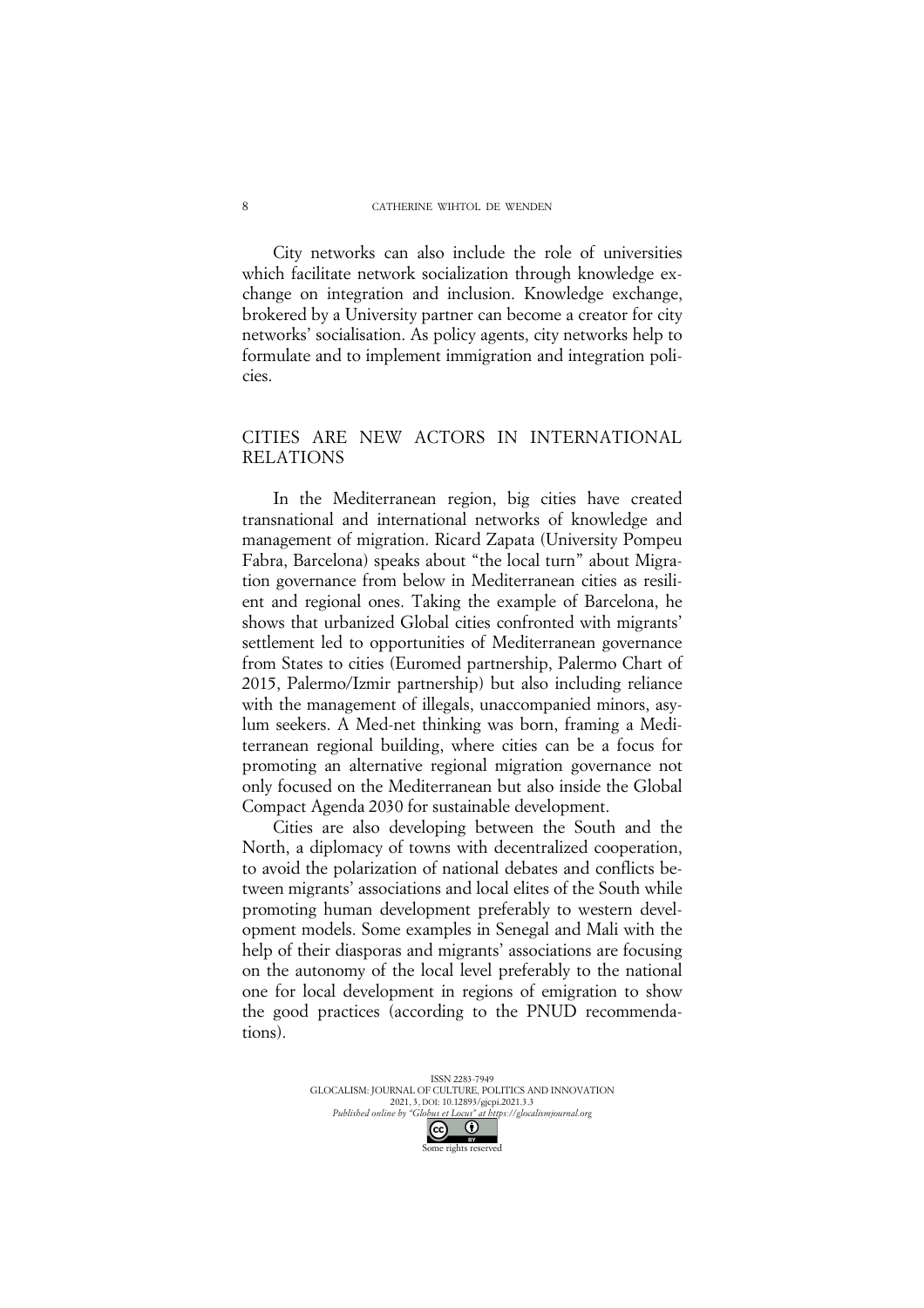City networks can also include the role of universities which facilitate network socialization through knowledge exchange on integration and inclusion. Knowledge exchange, brokered by a University partner can become a creator for city networks' socialisation. As policy agents, city networks help to formulate and to implement immigration and integration policies.

## CITIES ARE NEW ACTORS IN INTERNATIONAL RELATIONS

In the Mediterranean region, big cities have created transnational and international networks of knowledge and management of migration. Ricard Zapata (University Pompeu Fabra, Barcelona) speaks about "the local turn" about Migration governance from below in Mediterranean cities as resilient and regional ones. Taking the example of Barcelona, he shows that urbanized Global cities confronted with migrants' settlement led to opportunities of Mediterranean governance from States to cities (Euromed partnership, Palermo Chart of 2015, Palermo/Izmir partnership) but also including reliance with the management of illegals, unaccompanied minors, asylum seekers. A Med-net thinking was born, framing a Mediterranean regional building, where cities can be a focus for promoting an alternative regional migration governance not only focused on the Mediterranean but also inside the Global Compact Agenda 2030 for sustainable development.

Cities are also developing between the South and the North, a diplomacy of towns with decentralized cooperation, to avoid the polarization of national debates and conflicts between migrants' associations and local elites of the South while promoting human development preferably to western development models. Some examples in Senegal and Mali with the help of their diasporas and migrants' associations are focusing on the autonomy of the local level preferably to the national one for local development in regions of emigration to show the good practices (according to the PNUD recommendations).

> ISSN 2283-7949 GLOCALISM: JOURNAL OF CULTURE, POLITICS AND INNOVATION 2021, 3, DOI: 10.12893/gjcpi.2021.3.3 *Published online by "Globus et Locus" at https://glocalismjournal.org*  $\odot$ Some rights reserved

8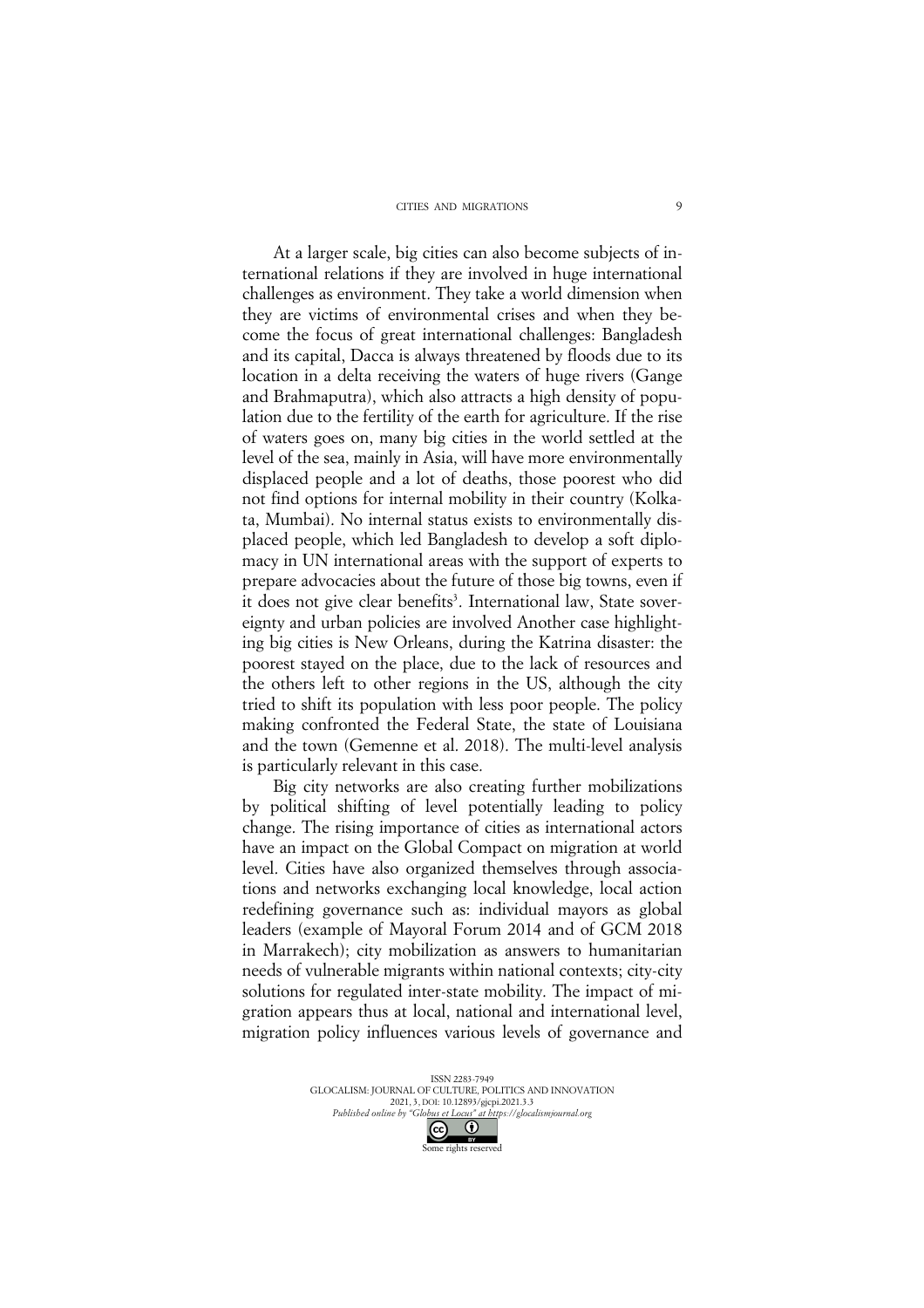#### CITIES AND MIGRATIONS

At a larger scale, big cities can also become subjects of international relations if they are involved in huge international challenges as environment. They take a world dimension when they are victims of environmental crises and when they become the focus of great international challenges: Bangladesh and its capital, Dacca is always threatened by floods due to its location in a delta receiving the waters of huge rivers (Gange and Brahmaputra), which also attracts a high density of population due to the fertility of the earth for agriculture. If the rise of waters goes on, many big cities in the world settled at the level of the sea, mainly in Asia, will have more environmentally displaced people and a lot of deaths, those poorest who did not find options for internal mobility in their country (Kolkata, Mumbai). No internal status exists to environmentally displaced people, which led Bangladesh to develop a soft diplomacy in UN international areas with the support of experts to prepare advocacies about the future of those big towns, even if it does not give clear benefits<sup>3</sup>. International law, State sovereignty and urban policies are involved Another case highlighting big cities is New Orleans, during the Katrina disaster: the poorest stayed on the place, due to the lack of resources and the others left to other regions in the US, although the city tried to shift its population with less poor people. The policy making confronted the Federal State, the state of Louisiana and the town (Gemenne et al. 2018). The multi-level analysis is particularly relevant in this case.

Big city networks are also creating further mobilizations by political shifting of level potentially leading to policy change. The rising importance of cities as international actors have an impact on the Global Compact on migration at world level. Cities have also organized themselves through associations and networks exchanging local knowledge, local action redefining governance such as: individual mayors as global leaders (example of Mayoral Forum 2014 and of GCM 2018 in Marrakech); city mobilization as answers to humanitarian needs of vulnerable migrants within national contexts; city-city solutions for regulated inter-state mobility. The impact of migration appears thus at local, national and international level, migration policy influences various levels of governance and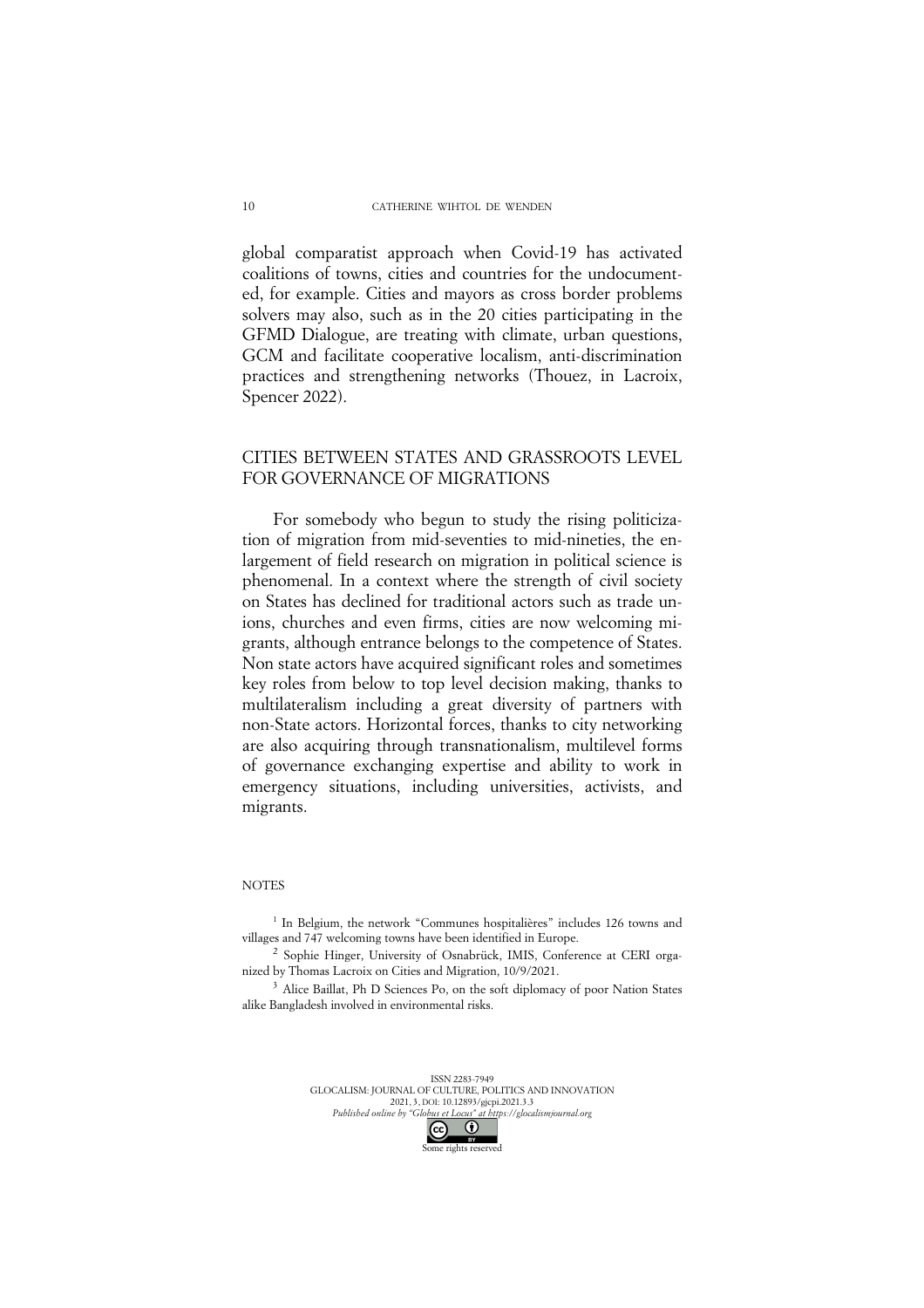global comparatist approach when Covid-19 has activated coalitions of towns, cities and countries for the undocumented, for example. Cities and mayors as cross border problems solvers may also, such as in the 20 cities participating in the GFMD Dialogue, are treating with climate, urban questions, GCM and facilitate cooperative localism, anti-discrimination practices and strengthening networks (Thouez, in Lacroix, Spencer 2022).

## CITIES BETWEEN STATES AND GRASSROOTS LEVEL FOR GOVERNANCE OF MIGRATIONS

For somebody who begun to study the rising politicization of migration from mid-seventies to mid-nineties, the enlargement of field research on migration in political science is phenomenal. In a context where the strength of civil society on States has declined for traditional actors such as trade unions, churches and even firms, cities are now welcoming migrants, although entrance belongs to the competence of States. Non state actors have acquired significant roles and sometimes key roles from below to top level decision making, thanks to multilateralism including a great diversity of partners with non-State actors. Horizontal forces, thanks to city networking are also acquiring through transnationalism, multilevel forms of governance exchanging expertise and ability to work in emergency situations, including universities, activists, and migrants.

#### **NOTES**

<sup>1</sup> In Belgium, the network "Communes hospitalières" includes 126 towns and villages and 747 welcoming towns have been identified in Europe.

<sup>2</sup> Sophie Hinger, University of Osnabrück, IMIS, Conference at CERI organized by Thomas Lacroix on Cities and Migration, 10/9/2021.

<sup>3</sup> Alice Baillat, Ph D Sciences Po, on the soft diplomacy of poor Nation States alike Bangladesh involved in environmental risks.

> ISSN 2283-7949 GLOCALISM: JOURNAL OF CULTURE, POLITICS AND INNOVATION 2021, 3, DOI: 10.12893/gjcpi.2021.3.3 *Published online by "Globus et Locus" at https://glocalismjournal.org*  $\odot$  $\odot$

Some rights reserved